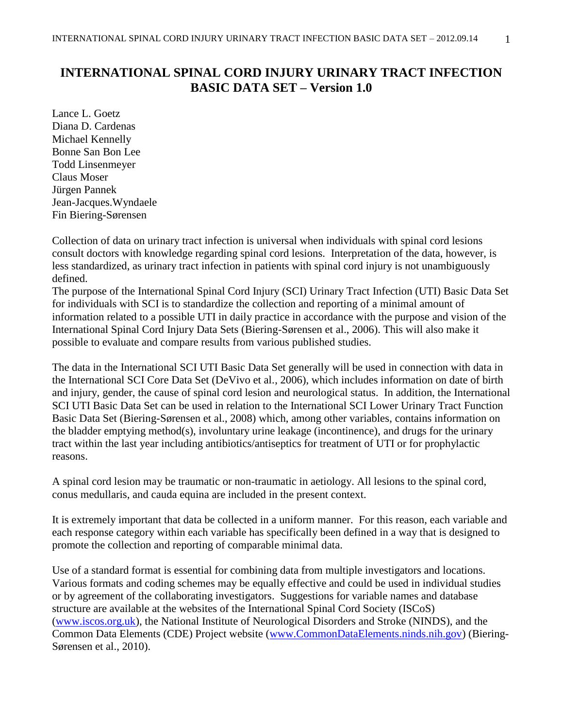# **INTERNATIONAL SPINAL CORD INJURY URINARY TRACT INFECTION BASIC DATA SET – Version 1.0**

Lance L. Goetz Diana D. Cardenas Michael Kennelly Bonne San Bon Lee Todd Linsenmeyer Claus Moser Jürgen Pannek Jean-Jacques.Wyndaele Fin Biering-Sørensen

Collection of data on urinary tract infection is universal when individuals with spinal cord lesions consult doctors with knowledge regarding spinal cord lesions. Interpretation of the data, however, is less standardized, as urinary tract infection in patients with spinal cord injury is not unambiguously defined.

The purpose of the International Spinal Cord Injury (SCI) Urinary Tract Infection (UTI) Basic Data Set for individuals with SCI is to standardize the collection and reporting of a minimal amount of information related to a possible UTI in daily practice in accordance with the purpose and vision of the International Spinal Cord Injury Data Sets (Biering-Sørensen et al., 2006). This will also make it possible to evaluate and compare results from various published studies.

The data in the International SCI UTI Basic Data Set generally will be used in connection with data in the International SCI Core Data Set (DeVivo et al., 2006), which includes information on date of birth and injury, gender, the cause of spinal cord lesion and neurological status. In addition, the International SCI UTI Basic Data Set can be used in relation to the International SCI Lower Urinary Tract Function Basic Data Set (Biering-Sørensen et al., 2008) which, among other variables, contains information on the bladder emptying method(s), involuntary urine leakage (incontinence), and drugs for the urinary tract within the last year including antibiotics/antiseptics for treatment of UTI or for prophylactic reasons.

A spinal cord lesion may be traumatic or non-traumatic in aetiology. All lesions to the spinal cord, conus medullaris, and cauda equina are included in the present context.

It is extremely important that data be collected in a uniform manner. For this reason, each variable and each response category within each variable has specifically been defined in a way that is designed to promote the collection and reporting of comparable minimal data.

Use of a standard format is essential for combining data from multiple investigators and locations. Various formats and coding schemes may be equally effective and could be used in individual studies or by agreement of the collaborating investigators. Suggestions for variable names and database structure are available at the websites of the International Spinal Cord Society (ISCoS) [\(www.iscos.org.uk\)](http://www.iscos.org.uk/), the National Institute of Neurological Disorders and Stroke (NINDS), and the Common Data Elements (CDE) Project website [\(www.CommonDataElements.ninds.nih.gov\)](http://www.commondataelements.ninds.nih.gov/) (Biering-Sørensen et al., 2010).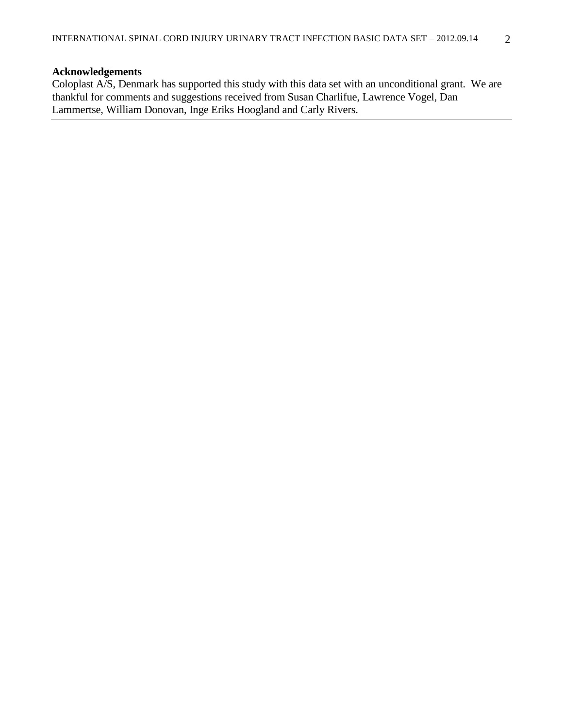# **Acknowledgements**

Coloplast A/S, Denmark has supported this study with this data set with an unconditional grant. We are thankful for comments and suggestions received from Susan Charlifue, Lawrence Vogel, Dan Lammertse, William Donovan, Inge Eriks Hoogland and Carly Rivers.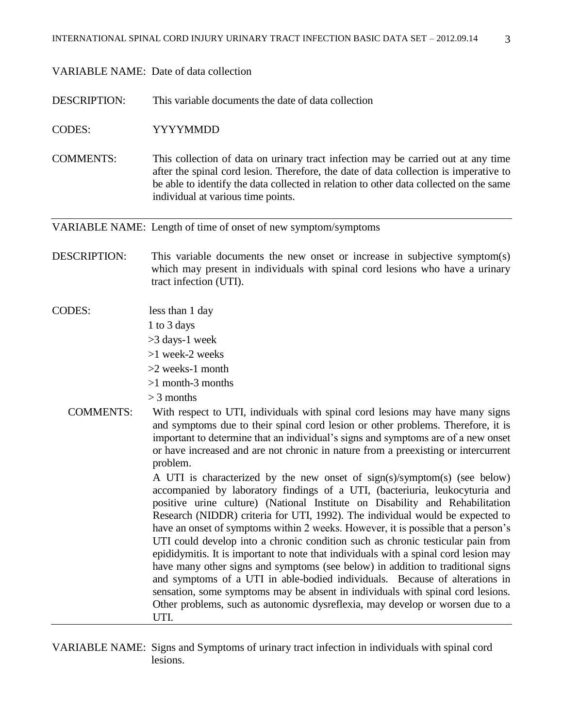## VARIABLE NAME: Date of data collection

DESCRIPTION: This variable documents the date of data collection

CODES: YYYYMMDD

COMMENTS: This collection of data on urinary tract infection may be carried out at any time after the spinal cord lesion. Therefore, the date of data collection is imperative to be able to identify the data collected in relation to other data collected on the same individual at various time points.

VARIABLE NAME: Length of time of onset of new symptom/symptoms

- DESCRIPTION: This variable documents the new onset or increase in subjective symptom(s) which may present in individuals with spinal cord lesions who have a urinary tract infection (UTI).
- CODES: less than 1 day

1 to 3 days

>3 days-1 week

>1 week-2 weeks

>2 weeks-1 month

>1 month-3 months

> 3 months

 COMMENTS: With respect to UTI, individuals with spinal cord lesions may have many signs and symptoms due to their spinal cord lesion or other problems. Therefore, it is important to determine that an individual's signs and symptoms are of a new onset or have increased and are not chronic in nature from a preexisting or intercurrent problem.

> A UTI is characterized by the new onset of sign(s)/symptom(s) (see below) accompanied by laboratory findings of a UTI, (bacteriuria, leukocyturia and positive urine culture) (National Institute on Disability and Rehabilitation Research (NIDDR) criteria for UTI, 1992). The individual would be expected to have an onset of symptoms within 2 weeks. However, it is possible that a person's UTI could develop into a chronic condition such as chronic testicular pain from epididymitis. It is important to note that individuals with a spinal cord lesion may have many other signs and symptoms (see below) in addition to traditional signs and symptoms of a UTI in able-bodied individuals. Because of alterations in sensation, some symptoms may be absent in individuals with spinal cord lesions. Other problems, such as autonomic dysreflexia, may develop or worsen due to a UTI.

VARIABLE NAME: Signs and Symptoms of urinary tract infection in individuals with spinal cord lesions.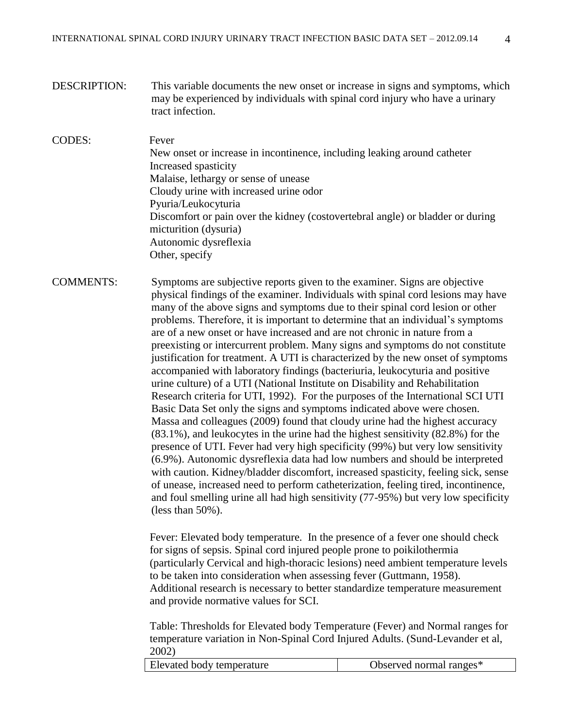DESCRIPTION: This variable documents the new onset or increase in signs and symptoms, which may be experienced by individuals with spinal cord injury who have a urinary tract infection.

# CODES: Fever New onset or increase in incontinence, including leaking around catheter Increased spasticity Malaise, lethargy or sense of unease Cloudy urine with increased urine odor Pyuria/Leukocyturia Discomfort or pain over the kidney (costovertebral angle) or bladder or during micturition (dysuria) Autonomic dysreflexia Other, specify

COMMENTS: Symptoms are subjective reports given to the examiner. Signs are objective physical findings of the examiner. Individuals with spinal cord lesions may have many of the above signs and symptoms due to their spinal cord lesion or other problems. Therefore, it is important to determine that an individual's symptoms are of a new onset or have increased and are not chronic in nature from a preexisting or intercurrent problem. Many signs and symptoms do not constitute justification for treatment. A UTI is characterized by the new onset of symptoms accompanied with laboratory findings (bacteriuria, leukocyturia and positive urine culture) of a UTI (National Institute on Disability and Rehabilitation Research criteria for UTI, 1992). For the purposes of the International SCI UTI Basic Data Set only the signs and symptoms indicated above were chosen. Massa and colleagues (2009) found that cloudy urine had the highest accuracy (83.1%), and leukocytes in the urine had the highest sensitivity (82.8%) for the presence of UTI. Fever had very high specificity (99%) but very low sensitivity (6.9%). Autonomic dysreflexia data had low numbers and should be interpreted with caution. Kidney/bladder discomfort, increased spasticity, feeling sick, sense of unease, increased need to perform catheterization, feeling tired, incontinence, and foul smelling urine all had high sensitivity (77-95%) but very low specificity (less than 50%).

> Fever: Elevated body temperature. In the presence of a fever one should check for signs of sepsis. Spinal cord injured people prone to poikilothermia (particularly Cervical and high-thoracic lesions) need ambient temperature levels to be taken into consideration when assessing fever (Guttmann, 1958). Additional research is necessary to better standardize temperature measurement and provide normative values for SCI.

> Table: Thresholds for Elevated body Temperature (Fever) and Normal ranges for temperature variation in Non-Spinal Cord Injured Adults. (Sund-Levander et al, 2002)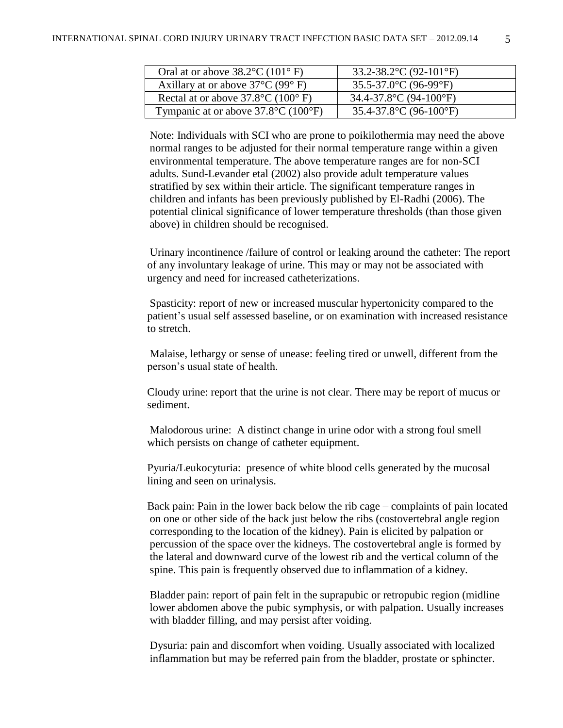| Oral at or above $38.2^{\circ}$ C (101° F)               | 33.2-38.2 °C (92-101 °F)                     |
|----------------------------------------------------------|----------------------------------------------|
| Axillary at or above $37^{\circ}$ C (99 $^{\circ}$ F)    | $35.5 - 37.0$ °C (96-99°F)                   |
| Rectal at or above $37.8^{\circ}$ C (100 $^{\circ}$ F)   | 34.4-37.8 °C (94-100 °F)                     |
| Tympanic at or above $37.8^{\circ}$ C (100 $^{\circ}$ F) | 35.4-37.8 $^{\circ}$ C (96-100 $^{\circ}$ F) |

Note: Individuals with SCI who are prone to poikilothermia may need the above normal ranges to be adjusted for their normal temperature range within a given environmental temperature. The above temperature ranges are for non-SCI adults. Sund-Levander etal (2002) also provide adult temperature values stratified by sex within their article. The significant temperature ranges in children and infants has been previously published by [El-Radhi](http://adc.bmj.com/search?author1=A+S+El-Radhi&sortspec=date&submit=Submit) (2006). The potential clinical significance of lower temperature thresholds (than those given above) in children should be recognised.

Urinary incontinence /failure of control or leaking around the catheter: The report of any involuntary leakage of urine. This may or may not be associated with urgency and need for increased catheterizations.

Spasticity: report of new or increased muscular hypertonicity compared to the patient's usual self assessed baseline, or on examination with increased resistance to stretch.

Malaise, lethargy or sense of unease: feeling tired or unwell, different from the person's usual state of health.

Cloudy urine: report that the urine is not clear. There may be report of mucus or sediment.

Malodorous urine: A distinct change in urine odor with a strong foul smell which persists on change of catheter equipment.

Pyuria/Leukocyturia: presence of white blood cells generated by the mucosal lining and seen on urinalysis.

Back pain: Pain in the lower back below the rib cage – complaints of pain located on one or other side of the back just below the ribs (costovertebral angle region corresponding to the location of the kidney). Pain is elicited by palpation or percussion of the space over the kidneys. The costovertebral angle is formed by the lateral and downward curve of the lowest rib and the vertical column of the spine. This pain is frequently observed due to inflammation of a kidney.

Bladder pain: report of pain felt in the suprapubic or retropubic region (midline lower abdomen above the pubic symphysis, or with palpation. Usually increases with bladder filling, and may persist after voiding.

Dysuria: pain and discomfort when voiding. Usually associated with localized inflammation but may be referred pain from the bladder, prostate or sphincter.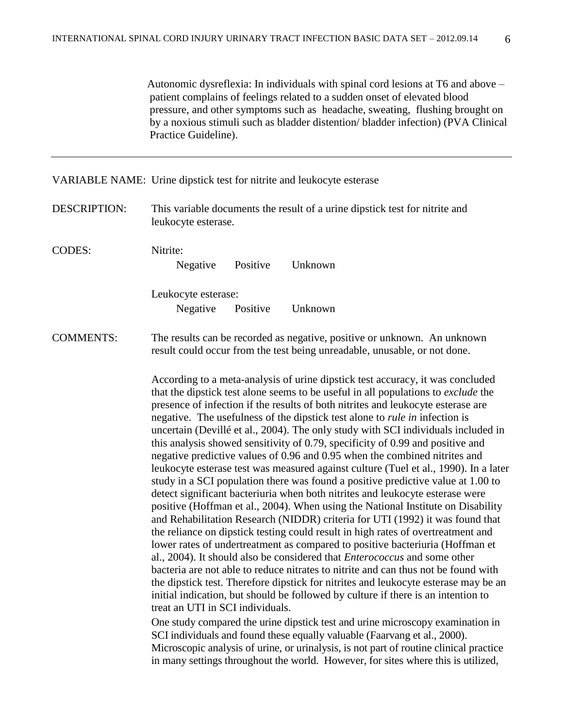Autonomic dysreflexia: In individuals with spinal cord lesions at T6 and above – patient complains of feelings related to a sudden onset of elevated blood pressure, and other symptoms such as headache, sweating, flushing brought on by a noxious stimuli such as bladder distention/ bladder infection) (PVA Clinical Practice Guideline).

VARIABLE NAME: Urine dipstick test for nitrite and leukocyte esterase

DESCRIPTION: This variable documents the result of a urine dipstick test for nitrite and leukocyte esterase.

CODES: Nitrite: Negative Positive Unknown Leukocyte esterase: Negative Positive Unknown

COMMENTS: The results can be recorded as negative, positive or unknown. An unknown result could occur from the test being unreadable, unusable, or not done.

> According to a meta-analysis of urine dipstick test accuracy, it was concluded that the dipstick test alone seems to be useful in all populations to *exclude* the presence of infection if the results of both nitrites and leukocyte esterase are negative. The usefulness of the dipstick test alone to *rule in* infection is uncertain (Devillé et al., 2004). The only study with SCI individuals included in this analysis showed sensitivity of 0.79, specificity of 0.99 and positive and negative predictive values of 0.96 and 0.95 when the combined nitrites and leukocyte esterase test was measured against culture (Tuel et al., 1990). In a later study in a SCI population there was found a positive predictive value at 1.00 to detect significant bacteriuria when both nitrites and leukocyte esterase were positive (Hoffman et al., 2004). When using the National Institute on Disability and Rehabilitation Research (NIDDR) criteria for UTI (1992) it was found that the reliance on dipstick testing could result in high rates of overtreatment and lower rates of undertreatment as compared to positive bacteriuria (Hoffman et al., 2004). It should also be considered that *Enterococcus* and some other bacteria are not able to reduce nitrates to nitrite and can thus not be found with the dipstick test. Therefore dipstick for nitrites and leukocyte esterase may be an initial indication, but should be followed by culture if there is an intention to treat an UTI in SCI individuals.

One study compared the urine dipstick test and urine microscopy examination in SCI individuals and found these equally valuable (Faarvang et al., 2000). Microscopic analysis of urine, or urinalysis, is not part of routine clinical practice in many settings throughout the world. However, for sites where this is utilized,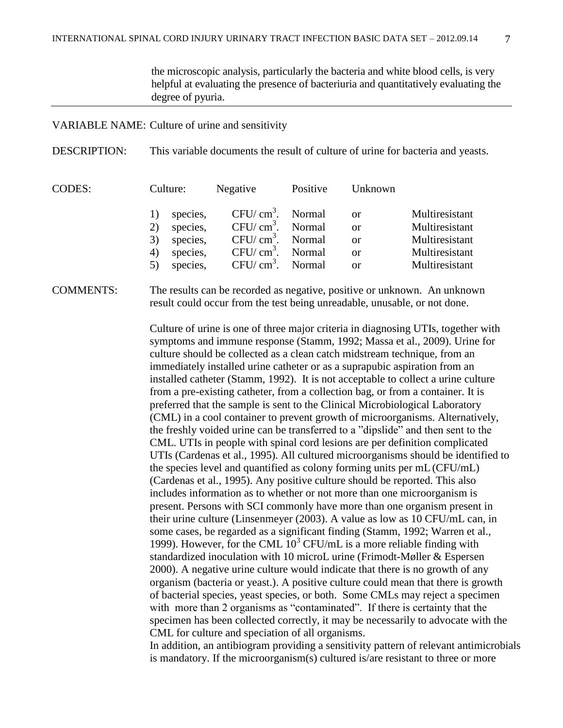the microscopic analysis, particularly the bacteria and white blood cells, is very helpful at evaluating the presence of bacteriuria and quantitatively evaluating the degree of pyuria.

#### VARIABLE NAME: Culture of urine and sensitivity

DESCRIPTION: This variable documents the result of culture of urine for bacteria and yeasts.

| <b>CODES:</b> | Culture: | Negative | Positive           | Unknown       |                |
|---------------|----------|----------|--------------------|---------------|----------------|
|               |          | species, | $CFU/cm3$ . Normal | <sub>or</sub> | Multiresistant |
|               |          | species, | $CFU/cm3$ . Normal | <b>or</b>     | Multiresistant |
|               | 3)       | species, | $CFU/cm3$ . Normal | <b>or</b>     | Multiresistant |
|               | 4)       | species, | $CFU/cm3$ . Normal | <b>or</b>     | Multiresistant |
|               |          | species, | $CFU/cm3$ . Normal | <b>or</b>     | Multiresistant |

# COMMENTS: The results can be recorded as negative, positive or unknown. An unknown result could occur from the test being unreadable, unusable, or not done.

Culture of urine is one of three major criteria in diagnosing UTIs, together with symptoms and immune response (Stamm, 1992; Massa et al., 2009). Urine for culture should be collected as a clean catch midstream technique, from an immediately installed urine catheter or as a suprapubic aspiration from an installed catheter (Stamm, 1992). It is not acceptable to collect a urine culture from a pre-existing catheter, from a collection bag, or from a container. It is preferred that the sample is sent to the Clinical Microbiological Laboratory (CML) in a cool container to prevent growth of microorganisms. Alternatively, the freshly voided urine can be transferred to a "dipslide" and then sent to the CML. UTIs in people with spinal cord lesions are per definition complicated UTIs (Cardenas et al., 1995). All cultured microorganisms should be identified to the species level and quantified as colony forming units per mL(CFU/mL) (Cardenas et al., 1995). Any positive culture should be reported. This also includes information as to whether or not more than one microorganism is present. Persons with SCI commonly have more than one organism present in their urine culture (Linsenmeyer (2003). A value as low as 10 CFU/mL can, in some cases, be regarded as a significant finding (Stamm, 1992; Warren et al., 1999). However, for the CML  $10<sup>3</sup>$  CFU/mL is a more reliable finding with standardized inoculation with 10 microL urine (Frimodt-Møller & Espersen 2000). A negative urine culture would indicate that there is no growth of any organism (bacteria or yeast.). A positive culture could mean that there is growth of bacterial species, yeast species, or both. Some CMLs may reject a specimen with more than 2 organisms as "contaminated". If there is certainty that the specimen has been collected correctly, it may be necessarily to advocate with the CML for culture and speciation of all organisms.

In addition, an antibiogram providing a sensitivity pattern of relevant antimicrobials is mandatory. If the microorganism(s) cultured is/are resistant to three or more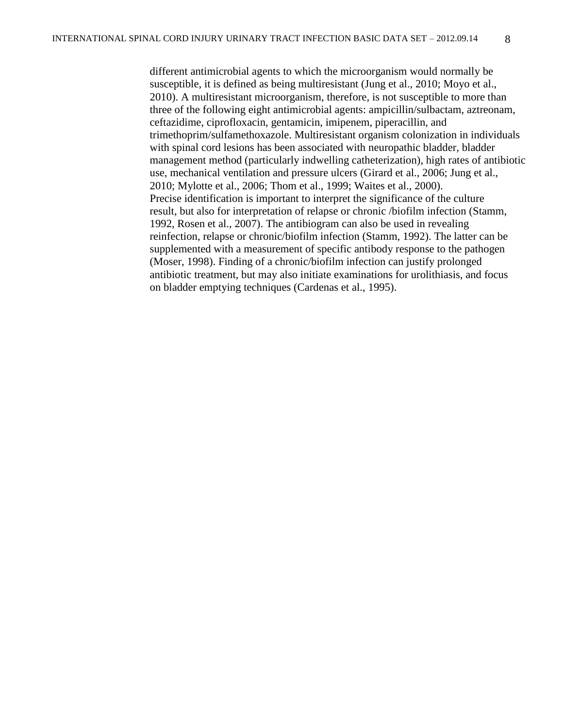different antimicrobial agents to which the microorganism would normally be susceptible, it is defined as being multiresistant (Jung et al., 2010; [Moyo et al.,](http://www.ncbi.nlm.nih.gov/pubmed?term=%22Moyo%20SJ%22%5BAuthor%5D) 2010). A multiresistant microorganism, therefore, is not susceptible to more than three of the following eight antimicrobial agents: ampicillin/sulbactam, aztreonam, ceftazidime, ciprofloxacin, gentamicin, imipenem, piperacillin, and trimethoprim/sulfamethoxazole. Multiresistant organism colonization in individuals with spinal cord lesions has been associated with neuropathic bladder, bladder management method (particularly indwelling catheterization), high rates of antibiotic use, mechanical ventilation and pressure ulcers (Girard et al., 2006; Jung et al., 2010; Mylotte et al., 2006; Thom et al., 1999; Waites et al., 2000). Precise identification is important to interpret the significance of the culture result, but also for interpretation of relapse or chronic /biofilm infection (Stamm, 1992, Rosen et al., 2007). The antibiogram can also be used in revealing reinfection, relapse or chronic/biofilm infection (Stamm, 1992). The latter can be supplemented with a measurement of specific antibody response to the pathogen (Moser, 1998). Finding of a chronic/biofilm infection can justify prolonged antibiotic treatment, but may also initiate examinations for urolithiasis, and focus on bladder emptying techniques (Cardenas et al., 1995).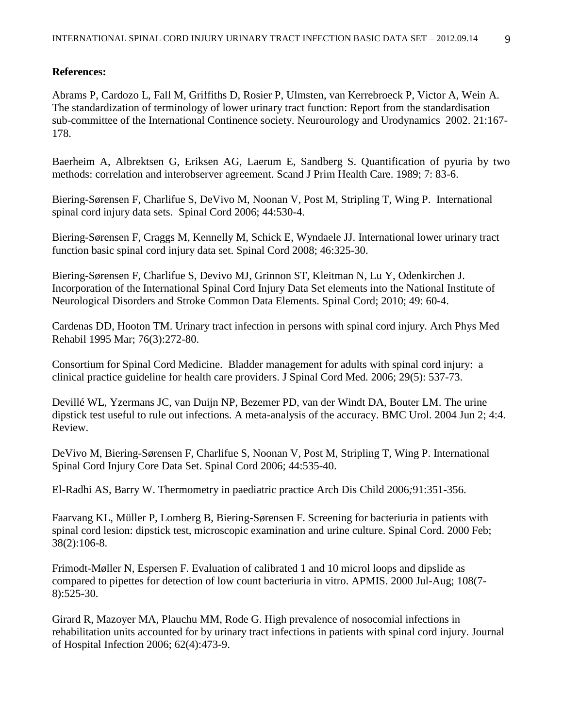## **References:**

Abrams P, Cardozo L, Fall M, Griffiths D, Rosier P, Ulmsten, van Kerrebroeck P, Victor A, Wein A. The standardization of terminology of lower urinary tract function: Report from the standardisation sub-committee of the International Continence society. Neurourology [and Urodynamics](http://onlinelibrary.wiley.com/journal/10.1002/%28ISSN%291520-6777) 2002. 21:167- 178.

Baerheim A, Albrektsen G, Eriksen AG, Laerum E, Sandberg S. Quantification of pyuria by two methods: correlation and interobserver agreement. Scand J Prim Health Care. 1989; 7: 83-6.

Biering-Sørensen F, Charlifue S, DeVivo M, Noonan V, Post M, Stripling T, Wing P. International spinal cord injury data sets. Spinal Cord 2006; 44:530-4.

Biering-Sørensen F, Craggs M, Kennelly M, Schick E, Wyndaele JJ. [International lower urinary tract](file:///C:/Dokumente%20und%20Einstellungen/pannek_j/Lokale%20Einstellungen/pubmed/18040278%3fitool=EntrezSystem2.PEntrez.Pubmed.Pubmed_ResultsPanel.Pubmed_RVDocSum&ordinalpos=27)  [function basic spinal cord injury data set.](file:///C:/Dokumente%20und%20Einstellungen/pannek_j/Lokale%20Einstellungen/pubmed/18040278%3fitool=EntrezSystem2.PEntrez.Pubmed.Pubmed_ResultsPanel.Pubmed_RVDocSum&ordinalpos=27) Spinal Cord 2008; 46:325-30.

Biering-Sørensen F, Charlifue S, Devivo MJ, Grinnon ST, Kleitman N, Lu Y, Odenkirchen J. [Incorporation of the International Spinal Cord Injury Data Set elements into the National Institute of](http://www.ncbi.nlm.nih.gov.ep.fjernadgang.kb.dk/pubmed/20733589)  [Neurological Disorders and Stroke Common Data Elements.](http://www.ncbi.nlm.nih.gov.ep.fjernadgang.kb.dk/pubmed/20733589) Spinal Cord; 2010; 49: 60-4.

[Cardenas DD,](http://www.ncbi.nlm.nih.gov.ep.fjernadgang.kb.dk/pubmed?term=%22Cardenas%20DD%22%5BAuthor%5D) [Hooton TM.](http://www.ncbi.nlm.nih.gov.ep.fjernadgang.kb.dk/pubmed?term=%22Hooton%20TM%22%5BAuthor%5D) Urinary tract infection in persons with spinal cord injury. Arch Phys Med Rehabil 1995 Mar; 76(3):272-80.

Consortium for Spinal Cord Medicine. Bladder management for adults with spinal cord injury: a clinical practice guideline for health care providers. J Spinal Cord Med. 2006; 29(5): 537-73.

Devillé WL, Yzermans JC, van Duijn NP, Bezemer PD, van der Windt DA, Bouter LM. [The urine](file:///C:/Dokumente%20und%20Einstellungen/pannek_j/Lokale%20Einstellungen/pubmed/15175113%3fitool=EntrezSystem2.PEntrez.Pubmed.Pubmed_ResultsPanel.Pubmed_RVDocSum&ordinalpos=22)  [dipstick test useful to rule out infections. A meta-analysis of the accuracy.](file:///C:/Dokumente%20und%20Einstellungen/pannek_j/Lokale%20Einstellungen/pubmed/15175113%3fitool=EntrezSystem2.PEntrez.Pubmed.Pubmed_ResultsPanel.Pubmed_RVDocSum&ordinalpos=22) BMC Urol. 2004 Jun 2; 4:4. Review.

DeVivo M, Biering-Sørensen F, Charlifue S, Noonan V, Post M, Stripling T, Wing P. International Spinal Cord Injury Core Data Set. Spinal Cord 2006; 44:535-40.

El-Radhi AS, Barry W. Thermometry in paediatric practice Arch Dis Child 2006*;*91:351-356.

Faarvang KL, Müller P, Lomberg B, Biering-Sørensen F. [Screening for bacteriuria in patients with](file:///C:/Dokumente%20und%20Einstellungen/pannek_j/Lokale%20Einstellungen/pubmed/10762184%3fitool=EntrezSystem2.PEntrez.Pubmed.Pubmed_ResultsPanel.Pubmed_RVDocSum&ordinalpos=7)  [spinal cord lesion: dipstick test, microscopic examination and urine culture.](file:///C:/Dokumente%20und%20Einstellungen/pannek_j/Lokale%20Einstellungen/pubmed/10762184%3fitool=EntrezSystem2.PEntrez.Pubmed.Pubmed_ResultsPanel.Pubmed_RVDocSum&ordinalpos=7) Spinal Cord. 2000 Feb; 38(2):106-8.

[Frimodt-Møller N,](http://www.ncbi.nlm.nih.gov.ep.fjernadgang.kb.dk/pubmed?term=%22Frimodt-M%C3%B8ller%20N%22%5BAuthor%5D) [Espersen F.](http://www.ncbi.nlm.nih.gov.ep.fjernadgang.kb.dk/pubmed?term=%22Espersen%20F%22%5BAuthor%5D) Evaluation of calibrated 1 and 10 microl loops and dipslide as compared to pipettes for detection of low count bacteriuria in vitro. [APMIS.](http://www.ncbi.nlm.nih.gov.ep.fjernadgang.kb.dk/pubmed?term=Frimodt-M%C3%B8ller%20N%2C%20Espersen%2C%20F.%20APMIS.%202000%3B%20108%3A525-30.) 2000 Jul-Aug; 108(7- 8):525-30.

Girard R, Mazoyer MA, Plauchu MM, Rode G. High prevalence of nosocomial infections in rehabilitation units accounted for by urinary tract infections in patients with spinal cord injury. Journal of Hospital Infection 2006; 62(4):473-9.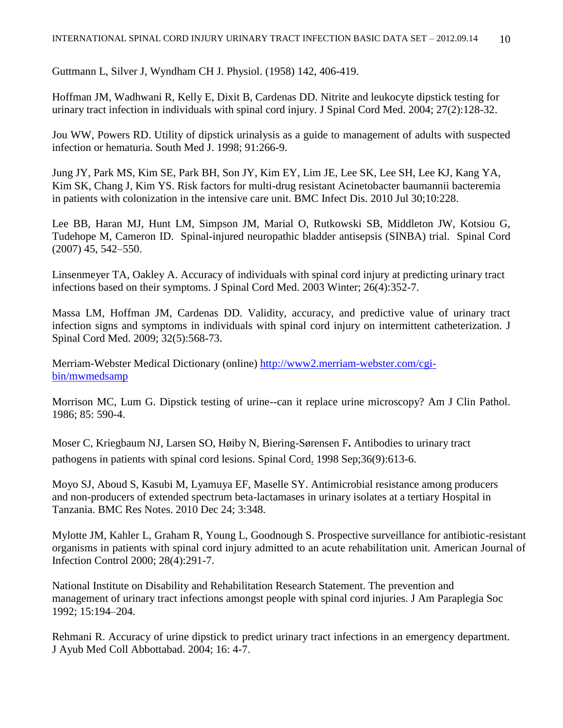Guttmann L, Silver J, Wyndham CH J. Physiol. (1958) 142, 406-419.

Hoffman JM, Wadhwani R, Kelly E, Dixit B, Cardenas DD. [Nitrite and leukocyte dipstick testing for](file:///C:/Dokumente%20und%20Einstellungen/pannek_j/Lokale%20Einstellungen/pubmed/15162883%3fitool=EntrezSystem2.PEntrez.Pubmed.Pubmed_ResultsPanel.Pubmed_RVDocSum&ordinalpos=15)  [urinary tract infection in individuals with spinal cord injury.](file:///C:/Dokumente%20und%20Einstellungen/pannek_j/Lokale%20Einstellungen/pubmed/15162883%3fitool=EntrezSystem2.PEntrez.Pubmed.Pubmed_ResultsPanel.Pubmed_RVDocSum&ordinalpos=15) J Spinal Cord Med. 2004; 27(2):128-32.

Jou WW, Powers RD. Utility of dipstick urinalysis as a guide to management of adults with suspected infection or hematuria. South Med J. 1998; 91:266-9.

[Jung JY,](http://www.ncbi.nlm.nih.gov.ep.fjernadgang.kb.dk/pubmed?term=%22Jung%20JY%22%5BAuthor%5D) [Park MS,](http://www.ncbi.nlm.nih.gov.ep.fjernadgang.kb.dk/pubmed?term=%22Park%20MS%22%5BAuthor%5D) [Kim SE,](http://www.ncbi.nlm.nih.gov.ep.fjernadgang.kb.dk/pubmed?term=%22Kim%20SE%22%5BAuthor%5D) [Park BH,](http://www.ncbi.nlm.nih.gov.ep.fjernadgang.kb.dk/pubmed?term=%22Park%20BH%22%5BAuthor%5D) [Son JY,](http://www.ncbi.nlm.nih.gov.ep.fjernadgang.kb.dk/pubmed?term=%22Son%20JY%22%5BAuthor%5D) [Kim EY,](http://www.ncbi.nlm.nih.gov.ep.fjernadgang.kb.dk/pubmed?term=%22Kim%20EY%22%5BAuthor%5D) [Lim JE,](http://www.ncbi.nlm.nih.gov.ep.fjernadgang.kb.dk/pubmed?term=%22Lim%20JE%22%5BAuthor%5D) [Lee SK,](http://www.ncbi.nlm.nih.gov.ep.fjernadgang.kb.dk/pubmed?term=%22Lee%20SK%22%5BAuthor%5D) [Lee SH,](http://www.ncbi.nlm.nih.gov.ep.fjernadgang.kb.dk/pubmed?term=%22Lee%20SH%22%5BAuthor%5D) [Lee KJ,](http://www.ncbi.nlm.nih.gov.ep.fjernadgang.kb.dk/pubmed?term=%22Lee%20KJ%22%5BAuthor%5D) [Kang YA,](http://www.ncbi.nlm.nih.gov.ep.fjernadgang.kb.dk/pubmed?term=%22Kang%20YA%22%5BAuthor%5D) [Kim SK,](http://www.ncbi.nlm.nih.gov.ep.fjernadgang.kb.dk/pubmed?term=%22Kim%20SK%22%5BAuthor%5D) [Chang J,](http://www.ncbi.nlm.nih.gov.ep.fjernadgang.kb.dk/pubmed?term=%22Chang%20J%22%5BAuthor%5D) [Kim YS.](http://www.ncbi.nlm.nih.gov.ep.fjernadgang.kb.dk/pubmed?term=%22Kim%20YS%22%5BAuthor%5D) Risk factors for multi-drug resistant Acinetobacter baumannii bacteremia in patients with colonization in the intensive care unit. [BMC Infect Dis.](http://www.ncbi.nlm.nih.gov.ep.fjernadgang.kb.dk/pubmed?term=bmc%20infect%20dis.%202010%20Jul%2030%3B10%3A228) 2010 Jul 30;10:228.

Lee BB, Haran MJ, Hunt LM, Simpson JM, Marial O, Rutkowski SB, Middleton JW, Kotsiou G, Tudehope M, Cameron ID. Spinal-injured neuropathic bladder antisepsis (SINBA) trial. Spinal Cord (2007) 45, 542–550.

Linsenmeyer TA, Oakley A. [Accuracy of individuals with spinal cord injury at predicting urinary tract](http://www.ncbi.nlm.nih.gov/pubmed/14992336)  [infections based on their symptoms.](http://www.ncbi.nlm.nih.gov/pubmed/14992336) J Spinal Cord Med. 2003 Winter; 26(4):352-7.

[Massa LM,](http://www.ncbi.nlm.nih.gov/pubmed?term=%22Massa%20LM%22%5BAuthor%5D) [Hoffman JM,](http://www.ncbi.nlm.nih.gov/pubmed?term=%22Hoffman%20JM%22%5BAuthor%5D) [Cardenas DD.](http://www.ncbi.nlm.nih.gov/pubmed?term=%22Cardenas%20DD%22%5BAuthor%5D) Validity, accuracy, and predictive value of urinary tract infection signs and symptoms in individuals with spinal cord injury on intermittent catheterization. [J](javascript:AL_get(this,%20)  [Spinal Cord Med.](javascript:AL_get(this,%20) 2009; 32(5):568-73.

Merriam-Webster Medical Dictionary (online) [http://www2.merriam-webster.com/cgi](http://www2.merriam-webster.com/cgi-bin/mwmedsamp)[bin/mwmedsamp](http://www2.merriam-webster.com/cgi-bin/mwmedsamp)

Morrison MC, Lum G. Dipstick testing of urine--can it replace urine microscopy? Am J Clin Pathol. 1986; 85: 590-4.

[Moser](http://www.ncbi.nlm.nih.gov/pubmed?term=%22Moser%20C%22%5BAuthor%5D) C, [Kriegbaum NJ,](http://www.ncbi.nlm.nih.gov/pubmed?term=%22Kriegbaum%20NJ%22%5BAuthor%5D) [Larsen SO,](http://www.ncbi.nlm.nih.gov/pubmed?term=%22Larsen%20SO%22%5BAuthor%5D) [Høiby N,](http://www.ncbi.nlm.nih.gov/pubmed?term=%22H%C3%B8iby%20N%22%5BAuthor%5D) [Biering-Sørensen F](http://www.ncbi.nlm.nih.gov/pubmed?term=%22Biering-S%C3%B8rensen%20F%22%5BAuthor%5D)**.** Antibodies to urinary tract pathogens in patients with spinal cord lesions. [Spinal Cord.](http://www.ncbi.nlm.nih.gov/pubmed/9773444) 1998 Sep;36(9):613-6.

Moyo SJ, Aboud S, Kasubi M, Lyamuya EF, Maselle SY. [Antimicrobial resistance among producers](http://www.ncbi.nlm.nih.gov.ep.fjernadgang.kb.dk/pubmed/21184671)  [and non-producers of extended spectrum beta-lactamases in urinary isolates at a tertiary Hospital in](http://www.ncbi.nlm.nih.gov.ep.fjernadgang.kb.dk/pubmed/21184671)  [Tanzania.](http://www.ncbi.nlm.nih.gov.ep.fjernadgang.kb.dk/pubmed/21184671) BMC Res Notes. 2010 Dec 24; 3:348.

Mylotte JM, Kahler L, Graham R, Young L, Goodnough S. Prospective surveillance for antibiotic-resistant organisms in patients with spinal cord injury admitted to an acute rehabilitation unit. American Journal of Infection Control 2000; 28(4):291-7.

National Institute on Disability and Rehabilitation Research Statement. The prevention and management of urinary tract infections amongst people with spinal cord injuries. J Am Paraplegia Soc 1992; 15:194–204.

Rehmani R. Accuracy of urine dipstick to predict urinary tract infections in an emergency department. J Ayub Med Coll Abbottabad. 2004; 16: 4-7.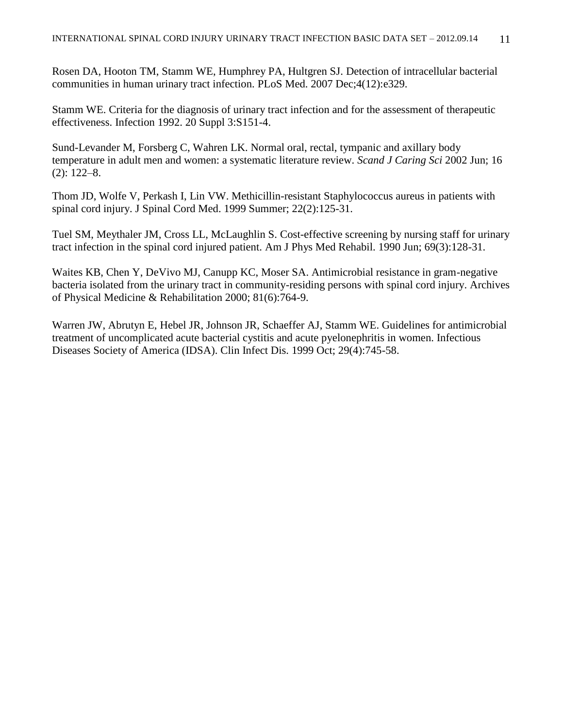Rosen DA, Hooton TM, Stamm WE, Humphrey PA, Hultgren SJ. [Detection of intracellular bacterial](http://www.ncbi.nlm.nih.gov.ep.fjernadgang.kb.dk/pubmed/18092884)  [communities in human urinary tract infection.](http://www.ncbi.nlm.nih.gov.ep.fjernadgang.kb.dk/pubmed/18092884) PLoS Med. 2007 Dec;4(12):e329.

Stamm WE. Criteria for the diagnosis of urinary tract infection and for the assessment of therapeutic effectiveness. Infection 1992. 20 Suppl 3:S151-4.

Sund-Levander M, Forsberg C, Wahren LK. Normal oral, rectal, tympanic and axillary body temperature in adult men and women: a systematic literature review. *Scand J Caring Sci* 2002 Jun; 16 (2): 122–8.

[Thom JD,](http://www.ncbi.nlm.nih.gov.ep.fjernadgang.kb.dk/pubmed?term=%22Thom%20JD%22%5BAuthor%5D) [Wolfe V,](http://www.ncbi.nlm.nih.gov.ep.fjernadgang.kb.dk/pubmed?term=%22Wolfe%20V%22%5BAuthor%5D) [Perkash I,](http://www.ncbi.nlm.nih.gov.ep.fjernadgang.kb.dk/pubmed?term=%22Perkash%20I%22%5BAuthor%5D) [Lin VW.](http://www.ncbi.nlm.nih.gov.ep.fjernadgang.kb.dk/pubmed?term=%22Lin%20VW%22%5BAuthor%5D) Methicillin-resistant Staphylococcus aureus in patients with spinal cord injury. [J Spinal Cord Med.](http://www.ncbi.nlm.nih.gov.ep.fjernadgang.kb.dk/pubmed?term=Journal%20of%20Spinal%20Cord%20Medicine%201999%3B%2022(2)%3A125-31) 1999 Summer; 22(2):125-31.

Tuel SM, Meythaler JM, Cross LL, McLaughlin S. [Cost-effective screening by nursing staff for urinary](file:///C:/Dokumente%20und%20Einstellungen/pannek_j/Lokale%20Einstellungen/pubmed/2363902%3fitool=EntrezSystem2.PEntrez.Pubmed.Pubmed_ResultsPanel.Pubmed_RVDocSum&ordinalpos=23)  [tract infection in the spinal cord injured patient.](file:///C:/Dokumente%20und%20Einstellungen/pannek_j/Lokale%20Einstellungen/pubmed/2363902%3fitool=EntrezSystem2.PEntrez.Pubmed.Pubmed_ResultsPanel.Pubmed_RVDocSum&ordinalpos=23) Am J Phys Med Rehabil. 1990 Jun; 69(3):128-31.

Waites KB, Chen Y, DeVivo MJ, Canupp KC, Moser SA. Antimicrobial resistance in gram-negative bacteria isolated from the urinary tract in community-residing persons with spinal cord injury. Archives of Physical Medicine & Rehabilitation 2000; 81(6):764-9.

[Warren JW,](http://www.ncbi.nlm.nih.gov.ep.fjernadgang.kb.dk/pubmed?term=%22Warren%20JW%22%5BAuthor%5D) [Abrutyn E,](http://www.ncbi.nlm.nih.gov.ep.fjernadgang.kb.dk/pubmed?term=%22Abrutyn%20E%22%5BAuthor%5D) [Hebel JR,](http://www.ncbi.nlm.nih.gov.ep.fjernadgang.kb.dk/pubmed?term=%22Hebel%20JR%22%5BAuthor%5D) [Johnson JR,](http://www.ncbi.nlm.nih.gov.ep.fjernadgang.kb.dk/pubmed?term=%22Johnson%20JR%22%5BAuthor%5D) [Schaeffer AJ,](http://www.ncbi.nlm.nih.gov.ep.fjernadgang.kb.dk/pubmed?term=%22Schaeffer%20AJ%22%5BAuthor%5D) [Stamm WE.](http://www.ncbi.nlm.nih.gov.ep.fjernadgang.kb.dk/pubmed?term=%22Stamm%20WE%22%5BAuthor%5D) Guidelines for antimicrobial treatment of uncomplicated acute bacterial cystitis and acute pyelonephritis in women. Infectious Diseases Society of America (IDSA). [Clin Infect Dis.](http://www.ncbi.nlm.nih.gov.ep.fjernadgang.kb.dk/pubmed?term=Warren%20JW%20CID.%201999%3B%2029%3A745-58.) 1999 Oct; 29(4):745-58.